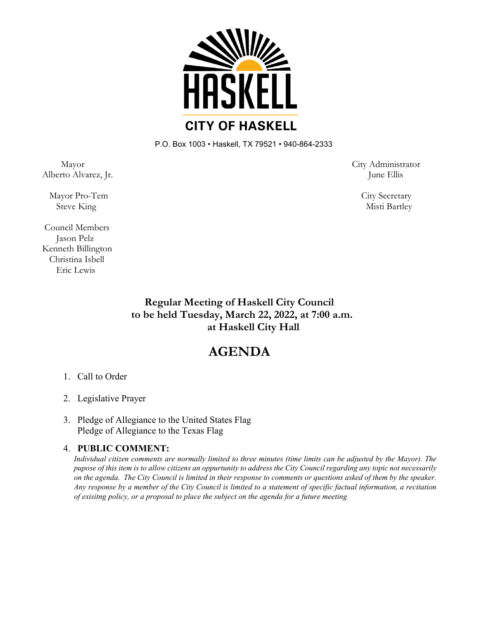

P.O. Box 1003 • Haskell, TX 79521 • 940-864-2333

Alberto Alvarez, Jr. June Ellis

Mayor Pro-Tem City Secretary

Council Members Jason Pelz Kenneth Billington Christina Isbell Eric Lewis

Mayor City Administrator

Steve King Misti Bartley

**Regular Meeting of Haskell City Council to be held Tuesday, March 22, 2022, at 7:00 a.m. at Haskell City Hall**

## **AGENDA**

- 1. Call to Order
- 2. Legislative Prayer
- 3. Pledge of Allegiance to the United States Flag Pledge of Allegiance to the Texas Flag

## 4. **PUBLIC COMMENT:**

*Individual citizen comments are normally limited to three minutes (time limits can be adjusted by the Mayor). The pupose of this item is to allow citizens an oppurtunity to address the City Council regarding any topic not necessarily on the agenda. The City Council is limited in their response to comments or questions asked of them by the speaker. Any response by a member of the City Council is limited to a statement of specific factual information, a recitation of exisitng policy, or a proposal to place the subject on the agenda for a future meeting*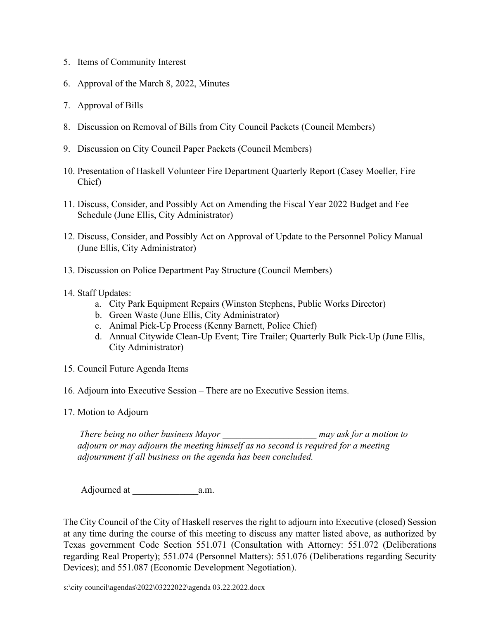- 5. Items of Community Interest
- 6. Approval of the March 8, 2022, Minutes
- 7. Approval of Bills
- 8. Discussion on Removal of Bills from City Council Packets (Council Members)
- 9. Discussion on City Council Paper Packets (Council Members)
- 10. Presentation of Haskell Volunteer Fire Department Quarterly Report (Casey Moeller, Fire Chief)
- 11. Discuss, Consider, and Possibly Act on Amending the Fiscal Year 2022 Budget and Fee Schedule (June Ellis, City Administrator)
- 12. Discuss, Consider, and Possibly Act on Approval of Update to the Personnel Policy Manual (June Ellis, City Administrator)
- 13. Discussion on Police Department Pay Structure (Council Members)
- 14. Staff Updates:
	- a. City Park Equipment Repairs (Winston Stephens, Public Works Director)
	- b. Green Waste (June Ellis, City Administrator)
	- c. Animal Pick-Up Process (Kenny Barnett, Police Chief)
	- d. Annual Citywide Clean-Up Event; Tire Trailer; Quarterly Bulk Pick-Up (June Ellis, City Administrator)
- 15. Council Future Agenda Items
- 16. Adjourn into Executive Session There are no Executive Session items.
- 17. Motion to Adjourn

*There being no other business Mayor \_\_\_\_\_\_\_\_\_\_\_\_\_\_\_\_\_\_\_\_ may ask for a motion to adjourn or may adjourn the meeting himself as no second is required for a meeting adjournment if all business on the agenda has been concluded.*

Adjourned at \_\_\_\_\_\_\_\_\_\_\_\_\_\_a.m.

The City Council of the City of Haskell reserves the right to adjourn into Executive (closed) Session at any time during the course of this meeting to discuss any matter listed above, as authorized by Texas government Code Section 551.071 (Consultation with Attorney: 551.072 (Deliberations regarding Real Property); 551.074 (Personnel Matters): 551.076 (Deliberations regarding Security Devices); and 551.087 (Economic Development Negotiation).